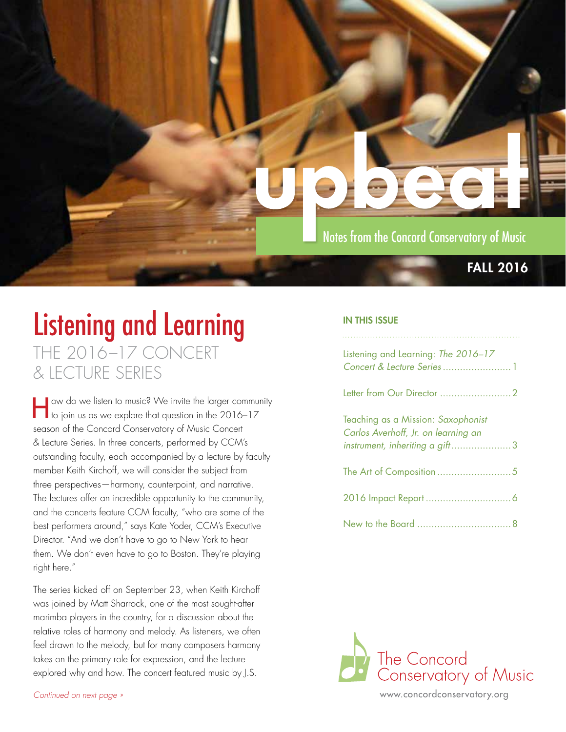

## Listening and Learning THE 2016–17 CONCERT & LECTURE SERIES

How do we listen to music? We invite the larger community to join us as we explore that question in the 2016–17 season of the Concord Conservatory of Music Concert & Lecture Series. In three concerts, performed by CCM's outstanding faculty, each accompanied by a lecture by faculty member Keith Kirchoff, we will consider the subject from three perspectives—harmony, counterpoint, and narrative. The lectures offer an incredible opportunity to the community, and the concerts feature CCM faculty, "who are some of the best performers around," says Kate Yoder, CCM's Executive Director. "And we don't have to go to New York to hear them. We don't even have to go to Boston. They're playing right here."

The series kicked off on September 23, when Keith Kirchoff was joined by Matt Sharrock, one of the most sought-after marimba players in the country, for a discussion about the relative roles of harmony and melody. As listeners, we often feel drawn to the melody, but for many composers harmony takes on the primary role for expression, and the lecture explored why and how. The concert featured music by J.S.

#### IN THIS ISSUE

| Listening and Learning: The 2016-17                                                                         |  |
|-------------------------------------------------------------------------------------------------------------|--|
|                                                                                                             |  |
| Teaching as a Mission: Saxophonist<br>Carlos Averhoff, Jr. on learning an<br>instrument, inheriting a gift3 |  |
|                                                                                                             |  |
|                                                                                                             |  |
|                                                                                                             |  |



[www.concordconservatory.org](http://concordconservatory.org)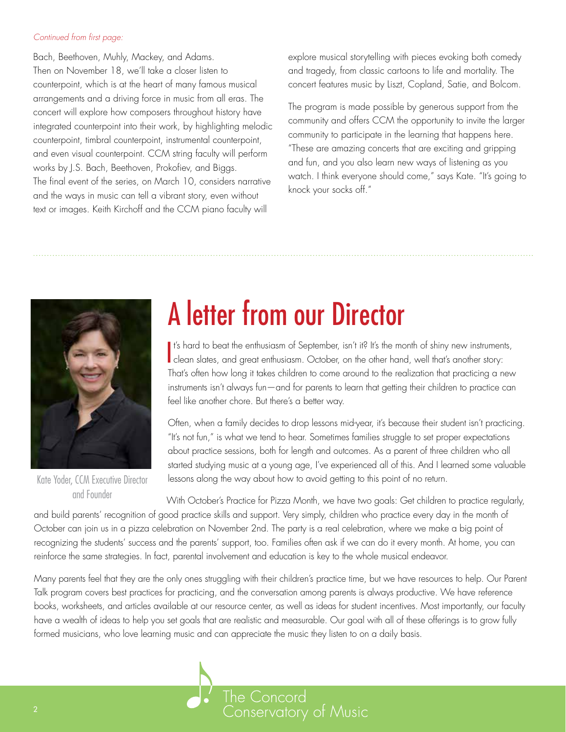#### <span id="page-1-0"></span>*Continued from first page:*

Bach, Beethoven, Muhly, Mackey, and Adams. Then on November 18, we'll take a closer listen to counterpoint, which is at the heart of many famous musical arrangements and a driving force in music from all eras. The concert will explore how composers throughout history have integrated counterpoint into their work, by highlighting melodic counterpoint, timbral counterpoint, instrumental counterpoint, and even visual counterpoint. CCM string faculty will perform works by J.S. Bach, Beethoven, Prokofiev, and Biggs. The final event of the series, on March 10, considers narrative and the ways in music can tell a vibrant story, even without text or images. Keith Kirchoff and the CCM piano faculty will

explore musical storytelling with pieces evoking both comedy and tragedy, from classic cartoons to life and mortality. The concert features music by Liszt, Copland, Satie, and Bolcom.

The program is made possible by generous support from the community and offers CCM the opportunity to invite the larger community to participate in the learning that happens here. "These are amazing concerts that are exciting and gripping and fun, and you also learn new ways of listening as you watch. I think everyone should come," says Kate. "It's going to knock your socks off."



Kate Yoder, CCM Executive Director and Founder

# A letter from our Director

It's hard to beat the enthusiasm of September, isn't it? It's the month of shiny new instrument<br>I clean slates, and great enthusiasm. October, on the other hand, well that's another story: It's hard to beat the enthusiasm of September, isn't it? It's the month of shiny new instruments, That's often how long it takes children to come around to the realization that practicing a new instruments isn't always fun—and for parents to learn that getting their children to practice can feel like another chore. But there's a better way.

Often, when a family decides to drop lessons mid-year, it's because their student isn't practicing. "It's not fun," is what we tend to hear. Sometimes families struggle to set proper expectations about practice sessions, both for length and outcomes. As a parent of three children who all started studying music at a young age, I've experienced all of this. And I learned some valuable lessons along the way about how to avoid getting to this point of no return.

With October's Practice for Pizza Month, we have two goals: Get children to practice regularly, and build parents' recognition of good practice skills and support. Very simply, children who practice every day in the month of October can join us in a pizza celebration on November 2nd. The party is a real celebration, where we make a big point of recognizing the students' success and the parents' support, too. Families often ask if we can do it every month. At home, you can reinforce the same strategies. In fact, parental involvement and education is key to the whole musical endeavor.

Many parents feel that they are the only ones struggling with their children's practice time, but we have resources to help. Our Parent Talk program covers best practices for practicing, and the conversation among parents is always productive. We have reference books, worksheets, and articles available at our resource center, as well as ideas for student incentives. Most importantly, our faculty have a wealth of ideas to help you set goals that are realistic and measurable. Our goal with all of these offerings is to grow fully formed musicians, who love learning music and can appreciate the music they listen to on a daily basis.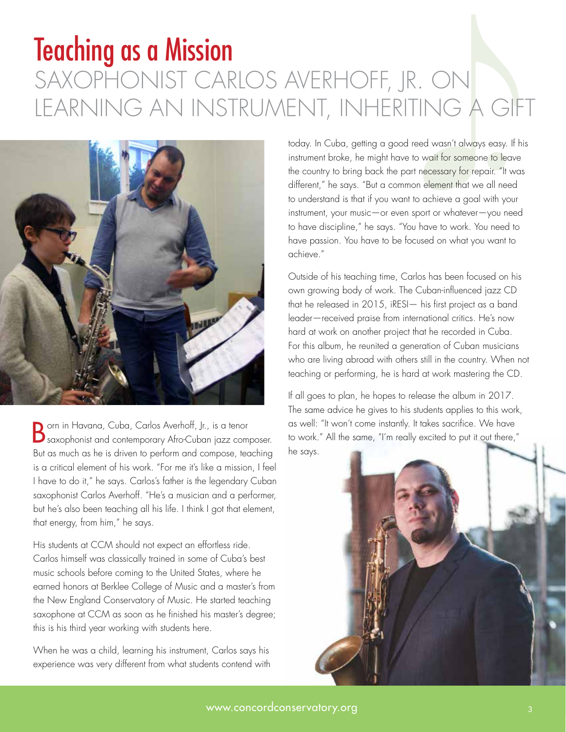## <span id="page-2-0"></span>Teaching as a Mission SAXOPHONIST CARLOS AVERHOFF, JR. ON LEARNING AN INSTRUMENT, INHERITING A GIFT



Born in Havana, Cuba, Carlos Averhoff, Jr., is a tenor saxophonist and contemporary Afro-Cuban jazz composer. But as much as he is driven to perform and compose, teaching is a critical element of his work. "For me it's like a mission, I feel I have to do it," he says. Carlos's father is the legendary Cuban saxophonist Carlos Averhoff. "He's a musician and a performer, but he's also been teaching all his life. I think I got that element, that energy, from him," he says.

His students at CCM should not expect an effortless ride. Carlos himself was classically trained in some of Cuba's best music schools before coming to the United States, where he earned honors at Berklee College of Music and a master's from the New England Conservatory of Music. He started teaching saxophone at CCM as soon as he finished his master's degree; this is his third year working with students here.

When he was a child, learning his instrument, Carlos says his experience was very different from what students contend with

today. In Cuba, getting a good reed wasn't always easy. If his instrument broke, he might have to wait for someone to leave the country to bring back the part necessary for repair. "It was different," he says. "But a common element that we all need to understand is that if you want to achieve a goal with your instrument, your music—or even sport or whatever—you need to have discipline," he says. "You have to work. You need to have passion. You have to be focused on what you want to achieve."

Outside of his teaching time, Carlos has been focused on his own growing body of work. The Cuban-influenced jazz CD that he released in 2015, iRESI— his first project as a band leader—received praise from international critics. He's now hard at work on another project that he recorded in Cuba. For this album, he reunited a generation of Cuban musicians who are living abroad with others still in the country. When not teaching or performing, he is hard at work mastering the CD.

If all goes to plan, he hopes to release the album in 2017. The same advice he gives to his students applies to this work, as well: "It won't come instantly. It takes sacrifice. We have to work." All the same, "I'm really excited to put it out there," he says.

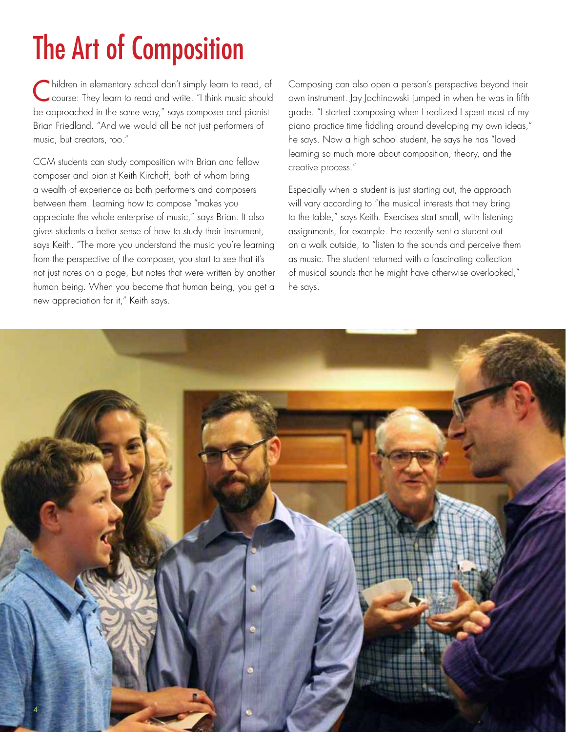# The Art of Composition

Children in elementary school don't simply learn to read, of course: They learn to read and write. "I think music should be approached in the same way," says composer and pianist Brian Friedland. "And we would all be not just performers of music, but creators, too."

CCM students can study composition with Brian and fellow composer and pianist Keith Kirchoff, both of whom bring a wealth of experience as both performers and composers between them. Learning how to compose "makes you appreciate the whole enterprise of music," says Brian. It also gives students a better sense of how to study their instrument, says Keith. "The more you understand the music you're learning from the perspective of the composer, you start to see that it's not just notes on a page, but notes that were written by another human being. When you become that human being, you get a new appreciation for it," Keith says.

Composing can also open a person's perspective beyond their own instrument. Jay Jachinowski jumped in when he was in fifth grade. "I started composing when I realized I spent most of my piano practice time fiddling around developing my own ideas," he says. Now a high school student, he says he has "loved learning so much more about composition, theory, and the creative process."

Especially when a student is just starting out, the approach will vary according to "the musical interests that they bring to the table," says Keith. Exercises start small, with listening assignments, for example. He recently sent a student out on a walk outside, to "listen to the sounds and perceive them as music. The student returned with a fascinating collection of musical sounds that he might have otherwise overlooked," he says.

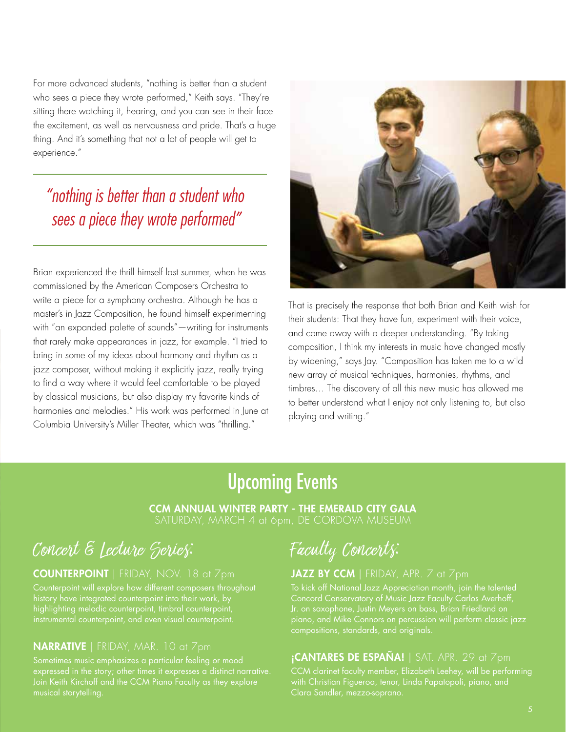<span id="page-4-0"></span>For more advanced students, "nothing is better than a student who sees a piece they wrote performed," Keith says. "They're sitting there watching it, hearing, and you can see in their face the excitement, as well as nervousness and pride. That's a huge thing. And it's something that not a lot of people will get to experience."

### *"nothing is better than a student who sees a piece they wrote performed"*

Brian experienced the thrill himself last summer, when he was commissioned by the American Composers Orchestra to write a piece for a symphony orchestra. Although he has a master's in Jazz Composition, he found himself experimenting with "an expanded palette of sounds"—writing for instruments that rarely make appearances in jazz, for example. "I tried to bring in some of my ideas about harmony and rhythm as a jazz composer, without making it explicitly jazz, really trying to find a way where it would feel comfortable to be played by classical musicians, but also display my favorite kinds of harmonies and melodies." His work was performed in June at Columbia University's Miller Theater, which was "thrilling."



That is precisely the response that both Brian and Keith wish for their students: That they have fun, experiment with their voice, and come away with a deeper understanding. "By taking composition, I think my interests in music have changed mostly by widening," says Jay. "Composition has taken me to a wild new array of musical techniques, harmonies, rhythms, and timbres… The discovery of all this new music has allowed me to better understand what I enjoy not only listening to, but also playing and writing."

### Upcoming Events

CCM ANNUAL WINTER PARTY - THE EMERALD CITY GALA SATURDAY, MARCH 4 at 6pm, DE CORDOVA MUSEUM

## Concert & Lecture Series: Faculty Concerts:

#### COUNTERPOINT | FRIDAY, NOV. 18 at 7pm

Counterpoint will explore how different composers throughout highlighting melodic counterpoint, timbral counterpoint,

#### NARRATIVE | FRIDAY, MAR. 10 at 7pm

#### JAZZ BY CCM | FRIDAY, APR. 7 at 7pm

To kick off National Jazz Appreciation month, join the talented compositions, standards, and originals.

#### $i$ CANTARES DE ESPAÑA! | SAT. APR. 29 at  $7$ pm

with Christian Figueroa, tenor, Linda Papatopoli, piano, and Clara Sandler, mezzo-soprano.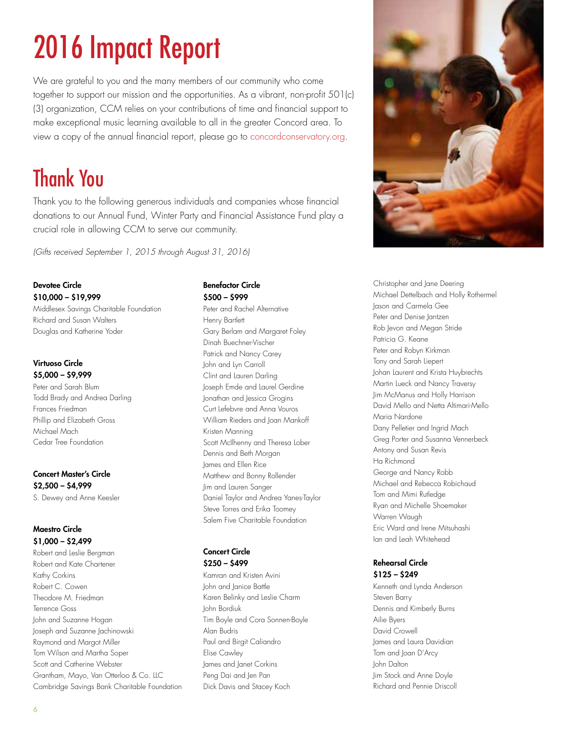# <span id="page-5-0"></span>2016 Impact Report

We are grateful to you and the many members of our community who come together to support our mission and the opportunities. As a vibrant, non-profit 501(c) (3) organization, CCM relies on your contributions of time and financial support to make exceptional music learning available to all in the greater Concord area. To view a copy of the annual financial report, please go to concordconservatory.org.

## Thank You

Thank you to the following generous individuals and companies whose financial donations to our Annual Fund, Winter Party and Financial Assistance Fund play a crucial role in allowing CCM to serve our community.

*(Gifts received September 1, 2015 through August 31, 2016)*

#### Devotee Circle \$10,000 – \$19,999

Middlesex Savings Charitable Foundation Richard and Susan Walters Douglas and Katherine Yoder

#### Virtuoso Circle \$5,000 – \$9,999

Peter and Sarah Blum Todd Brady and Andrea Darling Frances Friedman Phillip and Elizabeth Gross Michael Mach Cedar Tree Foundation

#### Concert Master's Circle \$2,500 – \$4,999

S. Dewey and Anne Keesler

#### Maestro Circle \$1,000 – \$2,499

Robert and Leslie Bergman Robert and Kate Chartener Kathy Corkins Robert C. Cowen Theodore M. Friedman Terrence Goss John and Suzanne Hogan Joseph and Suzanne Jachinowski Raymond and Margot Miller Tom Wilson and Martha Soper Scott and Catherine Webster Grantham, Mayo, Van Otterloo & Co. LLC Cambridge Savings Bank Charitable Foundation

#### Benefactor Circle \$500 – \$999

Peter and Rachel Alternative Henry Bartlett Gary Berlam and Margaret Foley Dinah Buechner-Vischer Patrick and Nancy Carey John and Lyn Carroll Clint and Lauren Darling Joseph Emde and Laurel Gerdine Jonathan and Jessica Grogins Curt Lefebvre and Anna Vouros William Rieders and Joan Mankoff Kristen Manning Scott McIlhenny and Theresa Lober Dennis and Beth Morgan James and Ellen Rice Matthew and Bonny Rollender Jim and Lauren Sanger Daniel Taylor and Andrea Yanes-Taylor Steve Torres and Erika Toomey Salem Five Charitable Foundation

#### Concert Circle \$250 – \$499

Kamran and Kristen Avini John and Janice Battle Karen Belinky and Leslie Charm John Bordiuk Tim Boyle and Cora Sonnen-Boyle Alan Budris Paul and Birgit Caliandro Elise Cawley James and Janet Corkins Peng Dai and Jen Pan Dick Davis and Stacey Koch



Christopher and Jane Deering Michael Dettelbach and Holly Rothermel Jason and Carmela Gee Peter and Denise Jantzen Rob Jevon and Megan Stride Patricia G. Keane Peter and Robyn Kirkman Tony and Sarah Liepert Johan Laurent and Krista Huybrechts Martin Lueck and Nancy Traversy Jim McManus and Holly Harrison David Mello and Netta Altimari-Mello Maria Nardone Dany Pelletier and Ingrid Mach Greg Porter and Susanna Vennerbeck Antony and Susan Revis Ha Richmond George and Nancy Robb Michael and Rebecca Robichaud Tom and Mimi Rutledge Ryan and Michelle Shoemaker Warren Waugh Eric Ward and Irene Mitsuhashi Ian and Leah Whitehead

#### Rehearsal Circle \$125 – \$249

Kenneth and Lynda Anderson Steven Barry Dennis and Kimberly Burns Ailie Byers David Crowell James and Laura Davidian Tom and Joan D'Arcy John Dalton Jim Stock and Anne Doyle Richard and Pennie Driscoll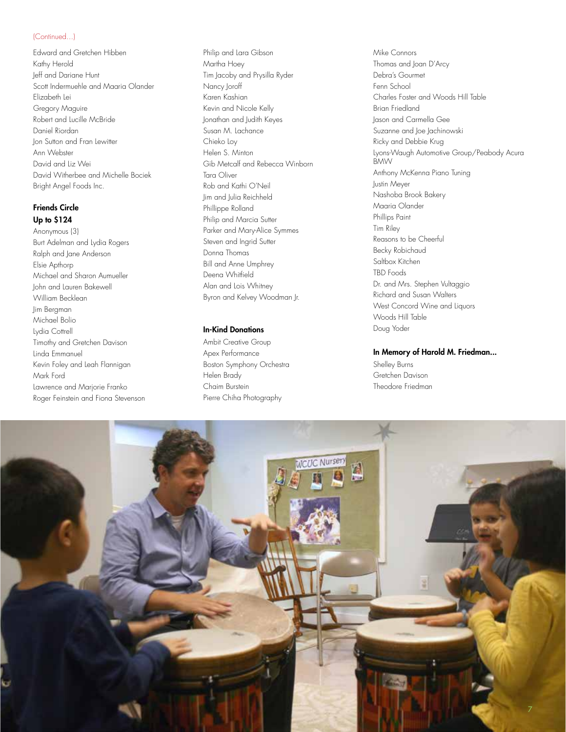#### (Continued...)

Edward and Gretchen Hibben Kathy Herold Jeff and Dariane Hunt Scott Indermuehle and Maaria Olander Elizabeth Lei Gregory Maguire Robert and Lucille McBride Daniel Riordan Jon Sutton and Fran Lewitter Ann Webster David and Liz Wei David Witherbee and Michelle Bociek Bright Angel Foods Inc.

#### Friends Circle Up to \$124

Anonymous (3) Burt Adelman and Lydia Rogers Ralph and Jane Anderson Elsie Apthorp Michael and Sharon Aumueller John and Lauren Bakewell William Becklean Jim Bergman Michael Bolio Lydia Cottrell Timothy and Gretchen Davison Linda Emmanuel Kevin Foley and Leah Flannigan Mark Ford Lawrence and Marjorie Franko Roger Feinstein and Fiona Stevenson Philip and Lara Gibson Martha Hoey Tim Jacoby and Prysilla Ryder Nancy Joroff Karen Kashian Kevin and Nicole Kelly Jonathan and Judith Keyes Susan M. Lachance Chieko Loy Helen S. Minton Gib Metcalf and Rebecca Winborn Tara Oliver Rob and Kathi O'Neil Jim and Julia Reichheld Phillippe Rolland Philip and Marcia Sutter Parker and Mary-Alice Symmes Steven and Ingrid Sutter Donna Thomas Bill and Anne Umphrey Deena Whitfield Alan and Lois Whitney Byron and Kelvey Woodman Jr.

#### In-Kind Donations

Ambit Creative Group Apex Performance Boston Symphony Orchestra Helen Brady Chaim Burstein Pierre Chiha Photography

Mike Connors Thomas and Joan D'Arcy Debra's Gourmet Fenn School Charles Foster and Woods Hill Table Brian Friedland Jason and Carmella Gee Suzanne and Joe Jachinowski Ricky and Debbie Krug Lyons-Waugh Automotive Group/Peabody Acura BMW Anthony McKenna Piano Tuning Justin Meyer Nashoba Brook Bakery Maaria Olander Phillips Paint Tim Riley Reasons to be Cheerful Becky Robichaud Saltbox Kitchen TBD Foods Dr. and Mrs. Stephen Vultaggio Richard and Susan Walters West Concord Wine and Liquors Woods Hill Table Doug Yoder

#### In Memory of Harold M. Friedman...

Shelley Burns Gretchen Davison Theodore Friedman